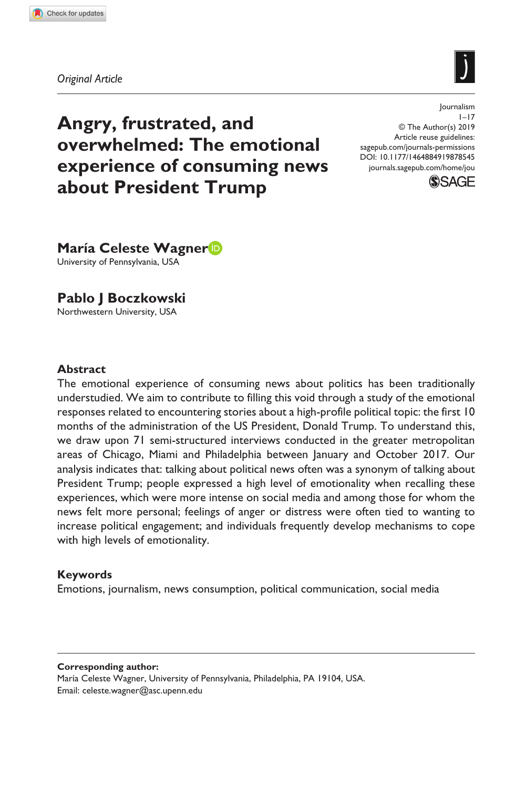**8785[45](http://crossmark.crossref.org/dialog/?doi=10.1177%2F1464884919878545&domain=pdf&date_stamp=2019-09-25)**JOU0010.1177/1464884919878545Journalism**Wagner and Boczkowski**

*Original Article*



# **Angry, frustrated, and overwhelmed: The emotional experience of consuming news about President Trump**

https://doi.org/10.1177/1464884919878545 DOI: 10.1177/1464884919878545 Journalism  $1 - 17$ © The Author(s) 2019 Article reuse guidelines: [sagepub.com/journals-permissions](https://uk.sagepub.com/en-gb/journals-permissions) [journals.sagepub.com/home/jou](https://journals.sagepub.com/home/jou)



**María Celeste Wagner**

University of Pennsylvania, USA

**Pablo J Boczkowski**

Northwestern University, USA

## **Abstract**

The emotional experience of consuming news about politics has been traditionally understudied. We aim to contribute to filling this void through a study of the emotional responses related to encountering stories about a high-profile political topic: the first 10 months of the administration of the US President, Donald Trump. To understand this, we draw upon 71 semi-structured interviews conducted in the greater metropolitan areas of Chicago, Miami and Philadelphia between January and October 2017. Our analysis indicates that: talking about political news often was a synonym of talking about President Trump; people expressed a high level of emotionality when recalling these experiences, which were more intense on social media and among those for whom the news felt more personal; feelings of anger or distress were often tied to wanting to increase political engagement; and individuals frequently develop mechanisms to cope with high levels of emotionality.

## **Keywords**

Emotions, journalism, news consumption, political communication, social media

#### **Corresponding author:**

María Celeste Wagner, University of Pennsylvania, Philadelphia, PA 19104, USA. Email: [celeste.wagner@asc.upenn.edu](mailto:celeste.wagner@asc.upenn.edu)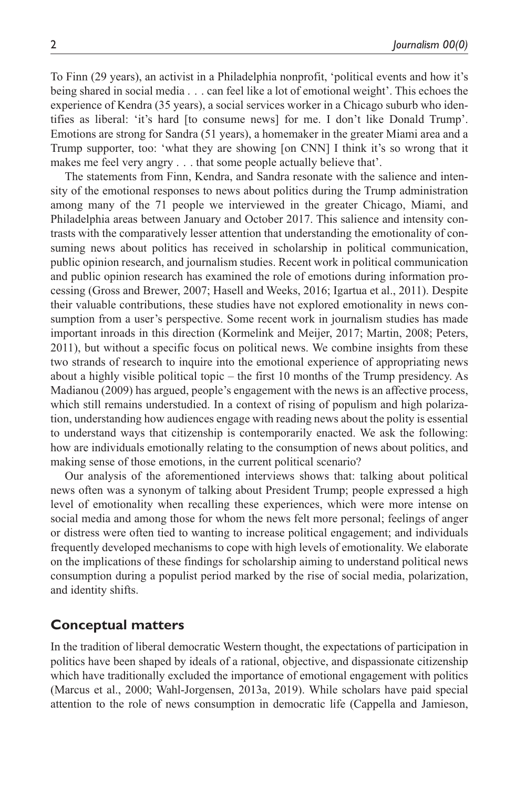To Finn (29 years), an activist in a Philadelphia nonprofit, 'political events and how it's being shared in social media . . . can feel like a lot of emotional weight'. This echoes the experience of Kendra (35 years), a social services worker in a Chicago suburb who identifies as liberal: 'it's hard [to consume news] for me. I don't like Donald Trump'. Emotions are strong for Sandra (51 years), a homemaker in the greater Miami area and a Trump supporter, too: 'what they are showing [on CNN] I think it's so wrong that it makes me feel very angry . . . that some people actually believe that'.

The statements from Finn, Kendra, and Sandra resonate with the salience and intensity of the emotional responses to news about politics during the Trump administration among many of the 71 people we interviewed in the greater Chicago, Miami, and Philadelphia areas between January and October 2017. This salience and intensity contrasts with the comparatively lesser attention that understanding the emotionality of consuming news about politics has received in scholarship in political communication, public opinion research, and journalism studies. Recent work in political communication and public opinion research has examined the role of emotions during information processing (Gross and Brewer, 2007; Hasell and Weeks, 2016; Igartua et al., 2011). Despite their valuable contributions, these studies have not explored emotionality in news consumption from a user's perspective. Some recent work in journalism studies has made important inroads in this direction (Kormelink and Meijer, 2017; Martin, 2008; Peters, 2011), but without a specific focus on political news. We combine insights from these two strands of research to inquire into the emotional experience of appropriating news about a highly visible political topic – the first 10 months of the Trump presidency. As Madianou (2009) has argued, people's engagement with the news is an affective process, which still remains understudied. In a context of rising of populism and high polarization, understanding how audiences engage with reading news about the polity is essential to understand ways that citizenship is contemporarily enacted. We ask the following: how are individuals emotionally relating to the consumption of news about politics, and making sense of those emotions, in the current political scenario?

Our analysis of the aforementioned interviews shows that: talking about political news often was a synonym of talking about President Trump; people expressed a high level of emotionality when recalling these experiences, which were more intense on social media and among those for whom the news felt more personal; feelings of anger or distress were often tied to wanting to increase political engagement; and individuals frequently developed mechanisms to cope with high levels of emotionality. We elaborate on the implications of these findings for scholarship aiming to understand political news consumption during a populist period marked by the rise of social media, polarization, and identity shifts.

## **Conceptual matters**

In the tradition of liberal democratic Western thought, the expectations of participation in politics have been shaped by ideals of a rational, objective, and dispassionate citizenship which have traditionally excluded the importance of emotional engagement with politics (Marcus et al., 2000; Wahl-Jorgensen, 2013a, 2019). While scholars have paid special attention to the role of news consumption in democratic life (Cappella and Jamieson,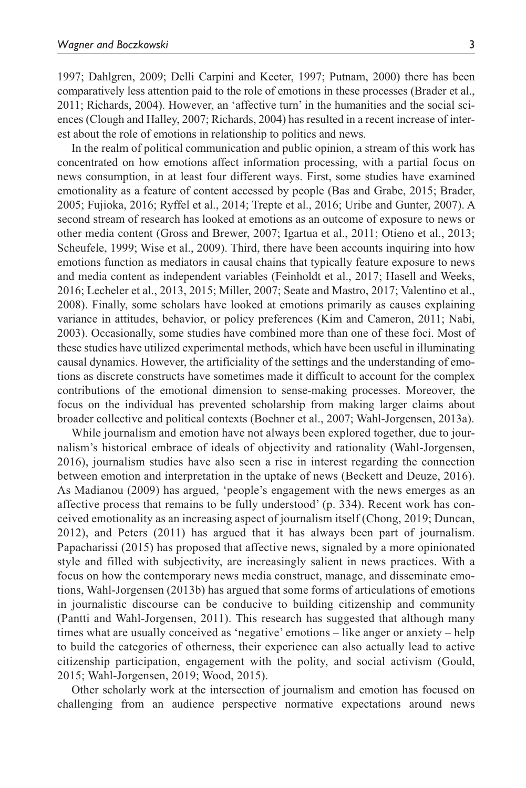1997; Dahlgren, 2009; Delli Carpini and Keeter, 1997; Putnam, 2000) there has been comparatively less attention paid to the role of emotions in these processes (Brader et al., 2011; Richards, 2004). However, an 'affective turn' in the humanities and the social sciences (Clough and Halley, 2007; Richards, 2004) has resulted in a recent increase of interest about the role of emotions in relationship to politics and news.

In the realm of political communication and public opinion, a stream of this work has concentrated on how emotions affect information processing, with a partial focus on news consumption, in at least four different ways. First, some studies have examined emotionality as a feature of content accessed by people (Bas and Grabe, 2015; Brader, 2005; Fujioka, 2016; Ryffel et al., 2014; Trepte et al., 2016; Uribe and Gunter, 2007). A second stream of research has looked at emotions as an outcome of exposure to news or other media content (Gross and Brewer, 2007; Igartua et al., 2011; Otieno et al., 2013; Scheufele, 1999; Wise et al., 2009). Third, there have been accounts inquiring into how emotions function as mediators in causal chains that typically feature exposure to news and media content as independent variables (Feinholdt et al., 2017; Hasell and Weeks, 2016; Lecheler et al., 2013, 2015; Miller, 2007; Seate and Mastro, 2017; Valentino et al., 2008). Finally, some scholars have looked at emotions primarily as causes explaining variance in attitudes, behavior, or policy preferences (Kim and Cameron, 2011; Nabi, 2003). Occasionally, some studies have combined more than one of these foci. Most of these studies have utilized experimental methods, which have been useful in illuminating causal dynamics. However, the artificiality of the settings and the understanding of emotions as discrete constructs have sometimes made it difficult to account for the complex contributions of the emotional dimension to sense-making processes. Moreover, the focus on the individual has prevented scholarship from making larger claims about broader collective and political contexts (Boehner et al., 2007; Wahl-Jorgensen, 2013a).

While journalism and emotion have not always been explored together, due to journalism's historical embrace of ideals of objectivity and rationality (Wahl-Jorgensen, 2016), journalism studies have also seen a rise in interest regarding the connection between emotion and interpretation in the uptake of news (Beckett and Deuze, 2016). As Madianou (2009) has argued, 'people's engagement with the news emerges as an affective process that remains to be fully understood' (p. 334). Recent work has conceived emotionality as an increasing aspect of journalism itself (Chong, 2019; Duncan, 2012), and Peters (2011) has argued that it has always been part of journalism. Papacharissi (2015) has proposed that affective news, signaled by a more opinionated style and filled with subjectivity, are increasingly salient in news practices. With a focus on how the contemporary news media construct, manage, and disseminate emotions, Wahl-Jorgensen (2013b) has argued that some forms of articulations of emotions in journalistic discourse can be conducive to building citizenship and community (Pantti and Wahl-Jorgensen, 2011). This research has suggested that although many times what are usually conceived as 'negative' emotions – like anger or anxiety – help to build the categories of otherness, their experience can also actually lead to active citizenship participation, engagement with the polity, and social activism (Gould, 2015; Wahl-Jorgensen, 2019; Wood, 2015).

Other scholarly work at the intersection of journalism and emotion has focused on challenging from an audience perspective normative expectations around news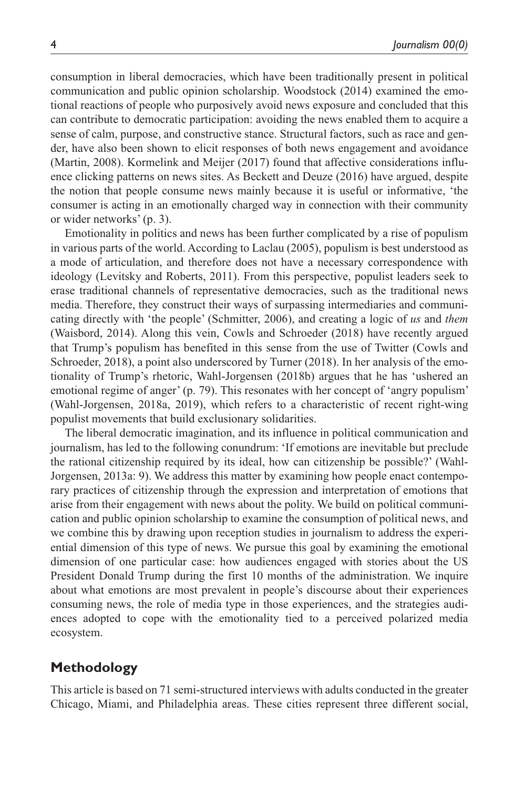consumption in liberal democracies, which have been traditionally present in political communication and public opinion scholarship. Woodstock (2014) examined the emotional reactions of people who purposively avoid news exposure and concluded that this can contribute to democratic participation: avoiding the news enabled them to acquire a sense of calm, purpose, and constructive stance. Structural factors, such as race and gender, have also been shown to elicit responses of both news engagement and avoidance (Martin, 2008). Kormelink and Meijer (2017) found that affective considerations influence clicking patterns on news sites. As Beckett and Deuze (2016) have argued, despite the notion that people consume news mainly because it is useful or informative, 'the consumer is acting in an emotionally charged way in connection with their community or wider networks' (p. 3).

Emotionality in politics and news has been further complicated by a rise of populism in various parts of the world. According to Laclau (2005), populism is best understood as a mode of articulation, and therefore does not have a necessary correspondence with ideology (Levitsky and Roberts, 2011). From this perspective, populist leaders seek to erase traditional channels of representative democracies, such as the traditional news media. Therefore, they construct their ways of surpassing intermediaries and communicating directly with 'the people' (Schmitter, 2006), and creating a logic of *us* and *them* (Waisbord, 2014). Along this vein, Cowls and Schroeder (2018) have recently argued that Trump's populism has benefited in this sense from the use of Twitter (Cowls and Schroeder, 2018), a point also underscored by Turner (2018). In her analysis of the emotionality of Trump's rhetoric, Wahl-Jorgensen (2018b) argues that he has 'ushered an emotional regime of anger' (p. 79). This resonates with her concept of 'angry populism' (Wahl-Jorgensen, 2018a, 2019), which refers to a characteristic of recent right-wing populist movements that build exclusionary solidarities.

The liberal democratic imagination, and its influence in political communication and journalism, has led to the following conundrum: 'If emotions are inevitable but preclude the rational citizenship required by its ideal, how can citizenship be possible?' (Wahl-Jorgensen, 2013a: 9). We address this matter by examining how people enact contemporary practices of citizenship through the expression and interpretation of emotions that arise from their engagement with news about the polity. We build on political communication and public opinion scholarship to examine the consumption of political news, and we combine this by drawing upon reception studies in journalism to address the experiential dimension of this type of news. We pursue this goal by examining the emotional dimension of one particular case: how audiences engaged with stories about the US President Donald Trump during the first 10 months of the administration. We inquire about what emotions are most prevalent in people's discourse about their experiences consuming news, the role of media type in those experiences, and the strategies audiences adopted to cope with the emotionality tied to a perceived polarized media ecosystem.

# **Methodology**

This article is based on 71 semi-structured interviews with adults conducted in the greater Chicago, Miami, and Philadelphia areas. These cities represent three different social,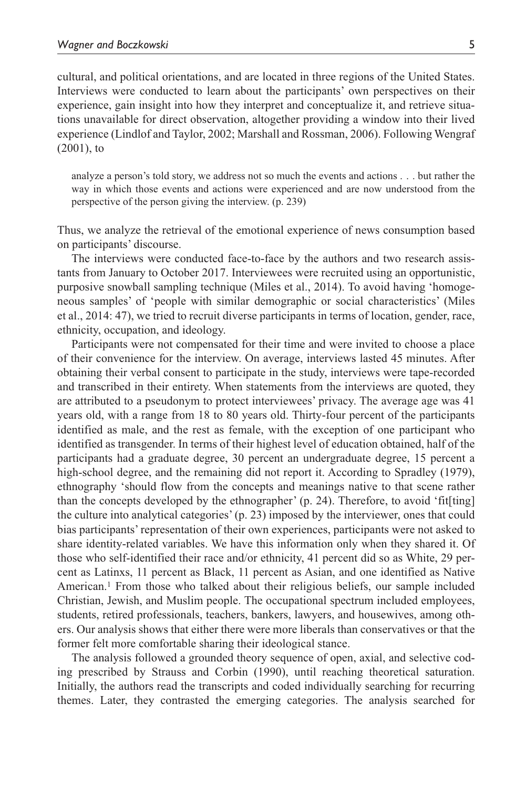cultural, and political orientations, and are located in three regions of the United States. Interviews were conducted to learn about the participants' own perspectives on their experience, gain insight into how they interpret and conceptualize it, and retrieve situations unavailable for direct observation, altogether providing a window into their lived experience (Lindlof and Taylor, 2002; Marshall and Rossman, 2006). Following Wengraf (2001), to

analyze a person's told story, we address not so much the events and actions . . . but rather the way in which those events and actions were experienced and are now understood from the perspective of the person giving the interview. (p. 239)

Thus, we analyze the retrieval of the emotional experience of news consumption based on participants' discourse.

The interviews were conducted face-to-face by the authors and two research assistants from January to October 2017. Interviewees were recruited using an opportunistic, purposive snowball sampling technique (Miles et al., 2014). To avoid having 'homogeneous samples' of 'people with similar demographic or social characteristics' (Miles et al., 2014: 47), we tried to recruit diverse participants in terms of location, gender, race, ethnicity, occupation, and ideology.

Participants were not compensated for their time and were invited to choose a place of their convenience for the interview. On average, interviews lasted 45 minutes. After obtaining their verbal consent to participate in the study, interviews were tape-recorded and transcribed in their entirety. When statements from the interviews are quoted, they are attributed to a pseudonym to protect interviewees' privacy. The average age was 41 years old, with a range from 18 to 80 years old. Thirty-four percent of the participants identified as male, and the rest as female, with the exception of one participant who identified as transgender. In terms of their highest level of education obtained, half of the participants had a graduate degree, 30 percent an undergraduate degree, 15 percent a high-school degree, and the remaining did not report it. According to Spradley (1979), ethnography 'should flow from the concepts and meanings native to that scene rather than the concepts developed by the ethnographer' (p. 24). Therefore, to avoid 'fit[ting] the culture into analytical categories' (p. 23) imposed by the interviewer, ones that could bias participants' representation of their own experiences, participants were not asked to share identity-related variables. We have this information only when they shared it. Of those who self-identified their race and/or ethnicity, 41 percent did so as White, 29 percent as Latinxs, 11 percent as Black, 11 percent as Asian, and one identified as Native American.1 From those who talked about their religious beliefs, our sample included Christian, Jewish, and Muslim people. The occupational spectrum included employees, students, retired professionals, teachers, bankers, lawyers, and housewives, among others. Our analysis shows that either there were more liberals than conservatives or that the former felt more comfortable sharing their ideological stance.

The analysis followed a grounded theory sequence of open, axial, and selective coding prescribed by Strauss and Corbin (1990), until reaching theoretical saturation. Initially, the authors read the transcripts and coded individually searching for recurring themes. Later, they contrasted the emerging categories. The analysis searched for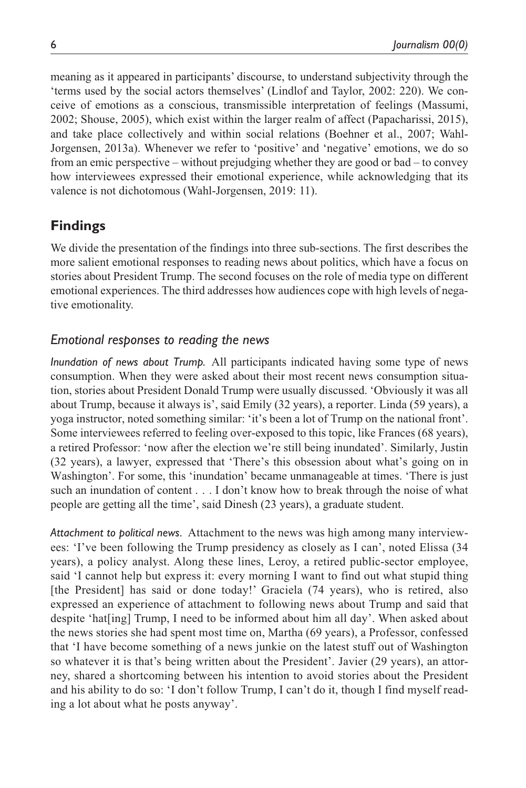meaning as it appeared in participants' discourse, to understand subjectivity through the 'terms used by the social actors themselves' (Lindlof and Taylor, 2002: 220). We conceive of emotions as a conscious, transmissible interpretation of feelings (Massumi, 2002; Shouse, 2005), which exist within the larger realm of affect (Papacharissi, 2015), and take place collectively and within social relations (Boehner et al., 2007; Wahl-Jorgensen, 2013a). Whenever we refer to 'positive' and 'negative' emotions, we do so from an emic perspective – without prejudging whether they are good or bad – to convey how interviewees expressed their emotional experience, while acknowledging that its valence is not dichotomous (Wahl-Jorgensen, 2019: 11).

# **Findings**

We divide the presentation of the findings into three sub-sections. The first describes the more salient emotional responses to reading news about politics, which have a focus on stories about President Trump. The second focuses on the role of media type on different emotional experiences. The third addresses how audiences cope with high levels of negative emotionality.

# *Emotional responses to reading the news*

*Inundation of news about Trump.* All participants indicated having some type of news consumption. When they were asked about their most recent news consumption situation, stories about President Donald Trump were usually discussed. 'Obviously it was all about Trump, because it always is', said Emily (32 years), a reporter. Linda (59 years), a yoga instructor, noted something similar: 'it's been a lot of Trump on the national front'. Some interviewees referred to feeling over-exposed to this topic, like Frances (68 years), a retired Professor: 'now after the election we're still being inundated'. Similarly, Justin (32 years), a lawyer, expressed that 'There's this obsession about what's going on in Washington'. For some, this 'inundation' became unmanageable at times. 'There is just such an inundation of content . . . I don't know how to break through the noise of what people are getting all the time', said Dinesh (23 years), a graduate student.

*Attachment to political news.* Attachment to the news was high among many interviewees: 'I've been following the Trump presidency as closely as I can', noted Elissa (34 years), a policy analyst. Along these lines, Leroy, a retired public-sector employee, said 'I cannot help but express it: every morning I want to find out what stupid thing [the President] has said or done today!' Graciela (74 years), who is retired, also expressed an experience of attachment to following news about Trump and said that despite 'hat[ing] Trump, I need to be informed about him all day'. When asked about the news stories she had spent most time on, Martha (69 years), a Professor, confessed that 'I have become something of a news junkie on the latest stuff out of Washington so whatever it is that's being written about the President'. Javier (29 years), an attorney, shared a shortcoming between his intention to avoid stories about the President and his ability to do so: 'I don't follow Trump, I can't do it, though I find myself reading a lot about what he posts anyway'.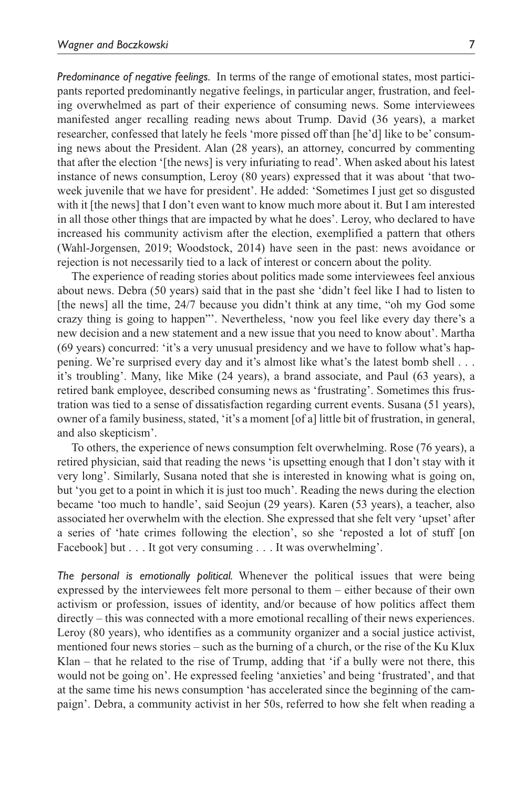*Predominance of negative feelings.* In terms of the range of emotional states, most participants reported predominantly negative feelings, in particular anger, frustration, and feeling overwhelmed as part of their experience of consuming news. Some interviewees manifested anger recalling reading news about Trump. David (36 years), a market researcher, confessed that lately he feels 'more pissed off than [he'd] like to be' consuming news about the President. Alan (28 years), an attorney, concurred by commenting that after the election '[the news] is very infuriating to read'. When asked about his latest instance of news consumption, Leroy (80 years) expressed that it was about 'that twoweek juvenile that we have for president'. He added: 'Sometimes I just get so disgusted with it [the news] that I don't even want to know much more about it. But I am interested in all those other things that are impacted by what he does'. Leroy, who declared to have increased his community activism after the election, exemplified a pattern that others (Wahl-Jorgensen, 2019; Woodstock, 2014) have seen in the past: news avoidance or rejection is not necessarily tied to a lack of interest or concern about the polity.

The experience of reading stories about politics made some interviewees feel anxious about news. Debra (50 years) said that in the past she 'didn't feel like I had to listen to [the news] all the time, 24/7 because you didn't think at any time, "oh my God some crazy thing is going to happen"'. Nevertheless, 'now you feel like every day there's a new decision and a new statement and a new issue that you need to know about'. Martha (69 years) concurred: 'it's a very unusual presidency and we have to follow what's happening. We're surprised every day and it's almost like what's the latest bomb shell . . . it's troubling'. Many, like Mike (24 years), a brand associate, and Paul (63 years), a retired bank employee, described consuming news as 'frustrating'. Sometimes this frustration was tied to a sense of dissatisfaction regarding current events. Susana (51 years), owner of a family business, stated, 'it's a moment [of a] little bit of frustration, in general, and also skepticism'.

To others, the experience of news consumption felt overwhelming. Rose (76 years), a retired physician, said that reading the news 'is upsetting enough that I don't stay with it very long'. Similarly, Susana noted that she is interested in knowing what is going on, but 'you get to a point in which it is just too much'. Reading the news during the election became 'too much to handle', said Seojun (29 years). Karen (53 years), a teacher, also associated her overwhelm with the election. She expressed that she felt very 'upset' after a series of 'hate crimes following the election', so she 'reposted a lot of stuff [on Facebook] but . . . It got very consuming . . . It was overwhelming'.

*The personal is emotionally political.* Whenever the political issues that were being expressed by the interviewees felt more personal to them – either because of their own activism or profession, issues of identity, and/or because of how politics affect them directly – this was connected with a more emotional recalling of their news experiences. Leroy (80 years), who identifies as a community organizer and a social justice activist, mentioned four news stories – such as the burning of a church, or the rise of the Ku Klux Klan – that he related to the rise of Trump, adding that 'if a bully were not there, this would not be going on'. He expressed feeling 'anxieties' and being 'frustrated', and that at the same time his news consumption 'has accelerated since the beginning of the campaign'. Debra, a community activist in her 50s, referred to how she felt when reading a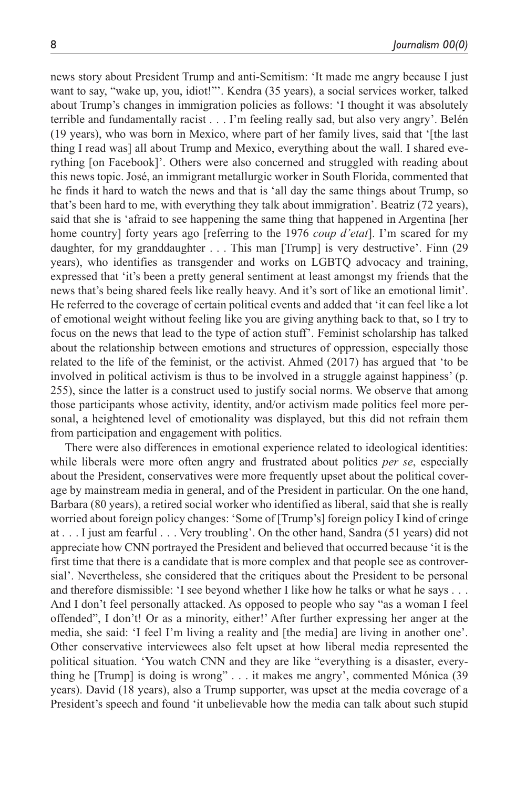news story about President Trump and anti-Semitism: 'It made me angry because I just want to say, "wake up, you, idiot!"'. Kendra (35 years), a social services worker, talked about Trump's changes in immigration policies as follows: 'I thought it was absolutely terrible and fundamentally racist . . . I'm feeling really sad, but also very angry'. Belén (19 years), who was born in Mexico, where part of her family lives, said that '[the last thing I read was] all about Trump and Mexico, everything about the wall. I shared everything [on Facebook]'. Others were also concerned and struggled with reading about this news topic. José, an immigrant metallurgic worker in South Florida, commented that he finds it hard to watch the news and that is 'all day the same things about Trump, so that's been hard to me, with everything they talk about immigration'. Beatriz (72 years), said that she is 'afraid to see happening the same thing that happened in Argentina [her home country] forty years ago [referring to the 1976 *coup d'etat*]. I'm scared for my daughter, for my granddaughter . . . This man [Trump] is very destructive'. Finn (29 years), who identifies as transgender and works on LGBTQ advocacy and training, expressed that 'it's been a pretty general sentiment at least amongst my friends that the news that's being shared feels like really heavy. And it's sort of like an emotional limit'. He referred to the coverage of certain political events and added that 'it can feel like a lot of emotional weight without feeling like you are giving anything back to that, so I try to focus on the news that lead to the type of action stuff'. Feminist scholarship has talked about the relationship between emotions and structures of oppression, especially those related to the life of the feminist, or the activist. Ahmed (2017) has argued that 'to be involved in political activism is thus to be involved in a struggle against happiness' (p. 255), since the latter is a construct used to justify social norms. We observe that among those participants whose activity, identity, and/or activism made politics feel more personal, a heightened level of emotionality was displayed, but this did not refrain them from participation and engagement with politics.

There were also differences in emotional experience related to ideological identities: while liberals were more often angry and frustrated about politics *per se*, especially about the President, conservatives were more frequently upset about the political coverage by mainstream media in general, and of the President in particular. On the one hand, Barbara (80 years), a retired social worker who identified as liberal, said that she is really worried about foreign policy changes: 'Some of [Trump's] foreign policy I kind of cringe at . . . I just am fearful . . . Very troubling'. On the other hand, Sandra (51 years) did not appreciate how CNN portrayed the President and believed that occurred because 'it is the first time that there is a candidate that is more complex and that people see as controversial'. Nevertheless, she considered that the critiques about the President to be personal and therefore dismissible: 'I see beyond whether I like how he talks or what he says . . . And I don't feel personally attacked. As opposed to people who say "as a woman I feel offended", I don't! Or as a minority, either!' After further expressing her anger at the media, she said: 'I feel I'm living a reality and [the media] are living in another one'. Other conservative interviewees also felt upset at how liberal media represented the political situation. 'You watch CNN and they are like "everything is a disaster, everything he [Trump] is doing is wrong" . . . it makes me angry', commented Mónica (39 years). David (18 years), also a Trump supporter, was upset at the media coverage of a President's speech and found 'it unbelievable how the media can talk about such stupid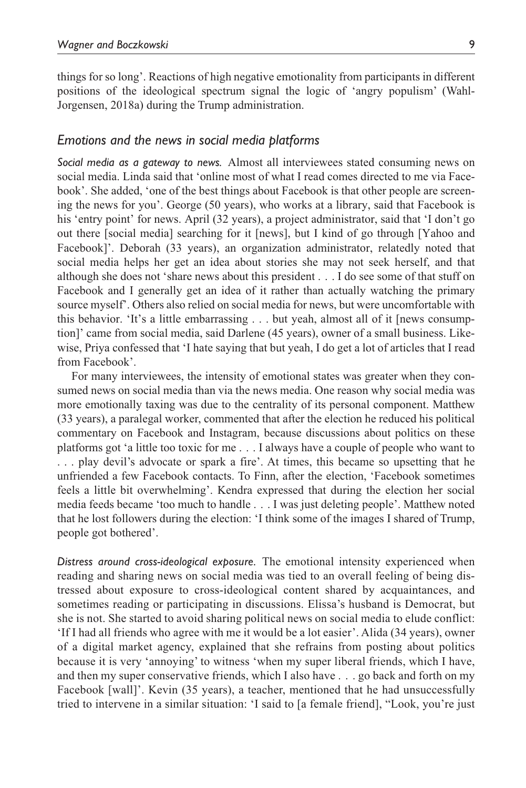things for so long'. Reactions of high negative emotionality from participants in different positions of the ideological spectrum signal the logic of 'angry populism' (Wahl-Jorgensen, 2018a) during the Trump administration.

#### *Emotions and the news in social media platforms*

*Social media as a gateway to news.* Almost all interviewees stated consuming news on social media. Linda said that 'online most of what I read comes directed to me via Facebook'. She added, 'one of the best things about Facebook is that other people are screening the news for you'. George (50 years), who works at a library, said that Facebook is his 'entry point' for news. April (32 years), a project administrator, said that 'I don't go out there [social media] searching for it [news], but I kind of go through [Yahoo and Facebook]'. Deborah (33 years), an organization administrator, relatedly noted that social media helps her get an idea about stories she may not seek herself, and that although she does not 'share news about this president . . . I do see some of that stuff on Facebook and I generally get an idea of it rather than actually watching the primary source myself'. Others also relied on social media for news, but were uncomfortable with this behavior. 'It's a little embarrassing . . . but yeah, almost all of it [news consumption]' came from social media, said Darlene (45 years), owner of a small business. Likewise, Priya confessed that 'I hate saying that but yeah, I do get a lot of articles that I read from Facebook'.

For many interviewees, the intensity of emotional states was greater when they consumed news on social media than via the news media. One reason why social media was more emotionally taxing was due to the centrality of its personal component. Matthew (33 years), a paralegal worker, commented that after the election he reduced his political commentary on Facebook and Instagram, because discussions about politics on these platforms got 'a little too toxic for me . . . I always have a couple of people who want to . . . play devil's advocate or spark a fire'. At times, this became so upsetting that he unfriended a few Facebook contacts. To Finn, after the election, 'Facebook sometimes feels a little bit overwhelming'. Kendra expressed that during the election her social media feeds became 'too much to handle . . . I was just deleting people'. Matthew noted that he lost followers during the election: 'I think some of the images I shared of Trump, people got bothered'.

*Distress around cross-ideological exposure.* The emotional intensity experienced when reading and sharing news on social media was tied to an overall feeling of being distressed about exposure to cross-ideological content shared by acquaintances, and sometimes reading or participating in discussions. Elissa's husband is Democrat, but she is not. She started to avoid sharing political news on social media to elude conflict: 'If I had all friends who agree with me it would be a lot easier'. Alida (34 years), owner of a digital market agency, explained that she refrains from posting about politics because it is very 'annoying' to witness 'when my super liberal friends, which I have, and then my super conservative friends, which I also have . . . go back and forth on my Facebook [wall]'. Kevin (35 years), a teacher, mentioned that he had unsuccessfully tried to intervene in a similar situation: 'I said to [a female friend], "Look, you're just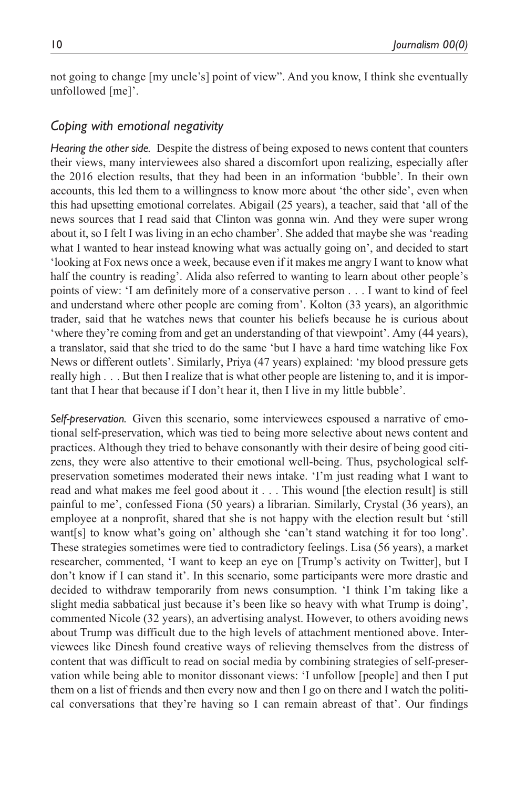not going to change [my uncle's] point of view". And you know, I think she eventually unfollowed [me]'.

#### *Coping with emotional negativity*

*Hearing the other side.* Despite the distress of being exposed to news content that counters their views, many interviewees also shared a discomfort upon realizing, especially after the 2016 election results, that they had been in an information 'bubble'. In their own accounts, this led them to a willingness to know more about 'the other side', even when this had upsetting emotional correlates. Abigail (25 years), a teacher, said that 'all of the news sources that I read said that Clinton was gonna win. And they were super wrong about it, so I felt I was living in an echo chamber'. She added that maybe she was 'reading what I wanted to hear instead knowing what was actually going on', and decided to start 'looking at Fox news once a week, because even if it makes me angry I want to know what half the country is reading'. Alida also referred to wanting to learn about other people's points of view: 'I am definitely more of a conservative person . . . I want to kind of feel and understand where other people are coming from'. Kolton (33 years), an algorithmic trader, said that he watches news that counter his beliefs because he is curious about 'where they're coming from and get an understanding of that viewpoint'. Amy (44 years), a translator, said that she tried to do the same 'but I have a hard time watching like Fox News or different outlets'. Similarly, Priya (47 years) explained: 'my blood pressure gets really high . . . But then I realize that is what other people are listening to, and it is important that I hear that because if I don't hear it, then I live in my little bubble'.

*Self-preservation.* Given this scenario, some interviewees espoused a narrative of emotional self-preservation, which was tied to being more selective about news content and practices. Although they tried to behave consonantly with their desire of being good citizens, they were also attentive to their emotional well-being. Thus, psychological selfpreservation sometimes moderated their news intake. 'I'm just reading what I want to read and what makes me feel good about it . . . This wound [the election result] is still painful to me', confessed Fiona (50 years) a librarian. Similarly, Crystal (36 years), an employee at a nonprofit, shared that she is not happy with the election result but 'still want[s] to know what's going on' although she 'can't stand watching it for too long'. These strategies sometimes were tied to contradictory feelings. Lisa (56 years), a market researcher, commented, 'I want to keep an eye on [Trump's activity on Twitter], but I don't know if I can stand it'. In this scenario, some participants were more drastic and decided to withdraw temporarily from news consumption. 'I think I'm taking like a slight media sabbatical just because it's been like so heavy with what Trump is doing', commented Nicole (32 years), an advertising analyst. However, to others avoiding news about Trump was difficult due to the high levels of attachment mentioned above. Interviewees like Dinesh found creative ways of relieving themselves from the distress of content that was difficult to read on social media by combining strategies of self-preservation while being able to monitor dissonant views: 'I unfollow [people] and then I put them on a list of friends and then every now and then I go on there and I watch the political conversations that they're having so I can remain abreast of that'. Our findings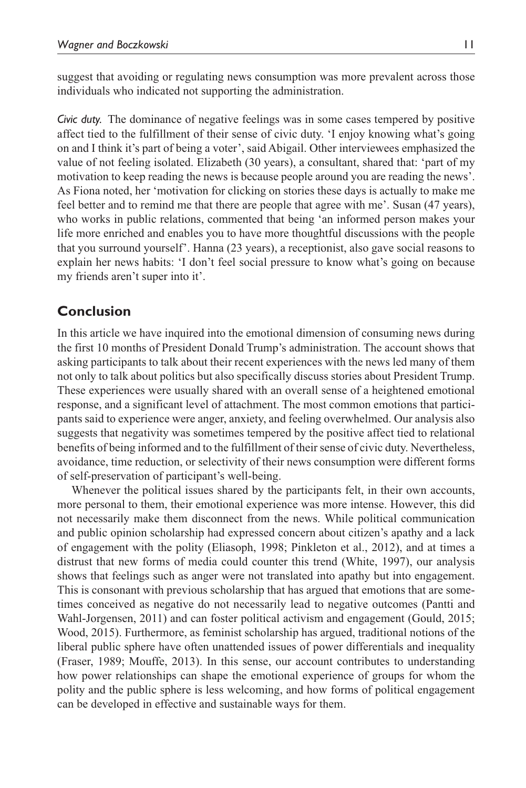suggest that avoiding or regulating news consumption was more prevalent across those individuals who indicated not supporting the administration.

*Civic duty.* The dominance of negative feelings was in some cases tempered by positive affect tied to the fulfillment of their sense of civic duty. 'I enjoy knowing what's going on and I think it's part of being a voter', said Abigail. Other interviewees emphasized the value of not feeling isolated. Elizabeth (30 years), a consultant, shared that: 'part of my motivation to keep reading the news is because people around you are reading the news'. As Fiona noted, her 'motivation for clicking on stories these days is actually to make me feel better and to remind me that there are people that agree with me'. Susan (47 years), who works in public relations, commented that being 'an informed person makes your life more enriched and enables you to have more thoughtful discussions with the people that you surround yourself'. Hanna (23 years), a receptionist, also gave social reasons to explain her news habits: 'I don't feel social pressure to know what's going on because my friends aren't super into it'.

# **Conclusion**

In this article we have inquired into the emotional dimension of consuming news during the first 10 months of President Donald Trump's administration. The account shows that asking participants to talk about their recent experiences with the news led many of them not only to talk about politics but also specifically discuss stories about President Trump. These experiences were usually shared with an overall sense of a heightened emotional response, and a significant level of attachment. The most common emotions that participants said to experience were anger, anxiety, and feeling overwhelmed. Our analysis also suggests that negativity was sometimes tempered by the positive affect tied to relational benefits of being informed and to the fulfillment of their sense of civic duty. Nevertheless, avoidance, time reduction, or selectivity of their news consumption were different forms of self-preservation of participant's well-being.

Whenever the political issues shared by the participants felt, in their own accounts, more personal to them, their emotional experience was more intense. However, this did not necessarily make them disconnect from the news. While political communication and public opinion scholarship had expressed concern about citizen's apathy and a lack of engagement with the polity (Eliasoph, 1998; Pinkleton et al., 2012), and at times a distrust that new forms of media could counter this trend (White, 1997), our analysis shows that feelings such as anger were not translated into apathy but into engagement. This is consonant with previous scholarship that has argued that emotions that are sometimes conceived as negative do not necessarily lead to negative outcomes (Pantti and Wahl-Jorgensen, 2011) and can foster political activism and engagement (Gould, 2015; Wood, 2015). Furthermore, as feminist scholarship has argued, traditional notions of the liberal public sphere have often unattended issues of power differentials and inequality (Fraser, 1989; Mouffe, 2013). In this sense, our account contributes to understanding how power relationships can shape the emotional experience of groups for whom the polity and the public sphere is less welcoming, and how forms of political engagement can be developed in effective and sustainable ways for them.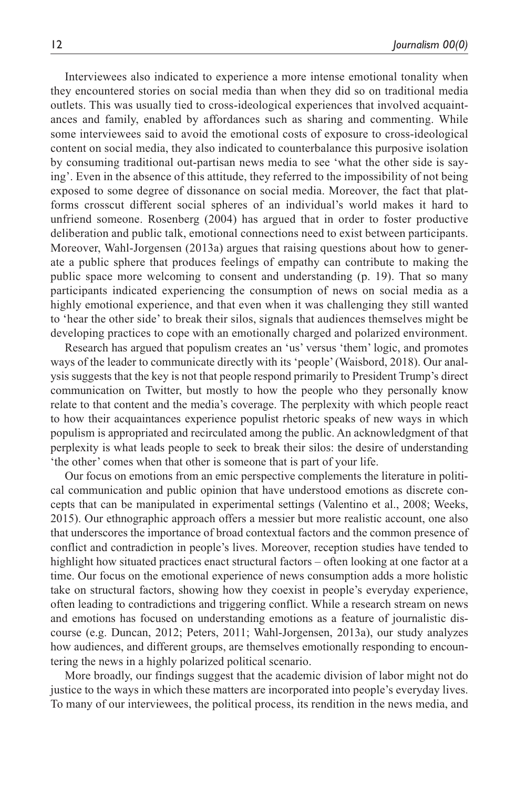Interviewees also indicated to experience a more intense emotional tonality when they encountered stories on social media than when they did so on traditional media outlets. This was usually tied to cross-ideological experiences that involved acquaintances and family, enabled by affordances such as sharing and commenting. While some interviewees said to avoid the emotional costs of exposure to cross-ideological content on social media, they also indicated to counterbalance this purposive isolation by consuming traditional out-partisan news media to see 'what the other side is saying'. Even in the absence of this attitude, they referred to the impossibility of not being exposed to some degree of dissonance on social media. Moreover, the fact that platforms crosscut different social spheres of an individual's world makes it hard to unfriend someone. Rosenberg (2004) has argued that in order to foster productive deliberation and public talk, emotional connections need to exist between participants. Moreover, Wahl-Jorgensen (2013a) argues that raising questions about how to generate a public sphere that produces feelings of empathy can contribute to making the public space more welcoming to consent and understanding (p. 19). That so many participants indicated experiencing the consumption of news on social media as a highly emotional experience, and that even when it was challenging they still wanted to 'hear the other side' to break their silos, signals that audiences themselves might be developing practices to cope with an emotionally charged and polarized environment.

Research has argued that populism creates an 'us' versus 'them' logic, and promotes ways of the leader to communicate directly with its 'people' (Waisbord, 2018). Our analysis suggests that the key is not that people respond primarily to President Trump's direct communication on Twitter, but mostly to how the people who they personally know relate to that content and the media's coverage. The perplexity with which people react to how their acquaintances experience populist rhetoric speaks of new ways in which populism is appropriated and recirculated among the public. An acknowledgment of that perplexity is what leads people to seek to break their silos: the desire of understanding 'the other' comes when that other is someone that is part of your life.

Our focus on emotions from an emic perspective complements the literature in political communication and public opinion that have understood emotions as discrete concepts that can be manipulated in experimental settings (Valentino et al., 2008; Weeks, 2015). Our ethnographic approach offers a messier but more realistic account, one also that underscores the importance of broad contextual factors and the common presence of conflict and contradiction in people's lives. Moreover, reception studies have tended to highlight how situated practices enact structural factors – often looking at one factor at a time. Our focus on the emotional experience of news consumption adds a more holistic take on structural factors, showing how they coexist in people's everyday experience, often leading to contradictions and triggering conflict. While a research stream on news and emotions has focused on understanding emotions as a feature of journalistic discourse (e.g. Duncan, 2012; Peters, 2011; Wahl-Jorgensen, 2013a), our study analyzes how audiences, and different groups, are themselves emotionally responding to encountering the news in a highly polarized political scenario.

More broadly, our findings suggest that the academic division of labor might not do justice to the ways in which these matters are incorporated into people's everyday lives. To many of our interviewees, the political process, its rendition in the news media, and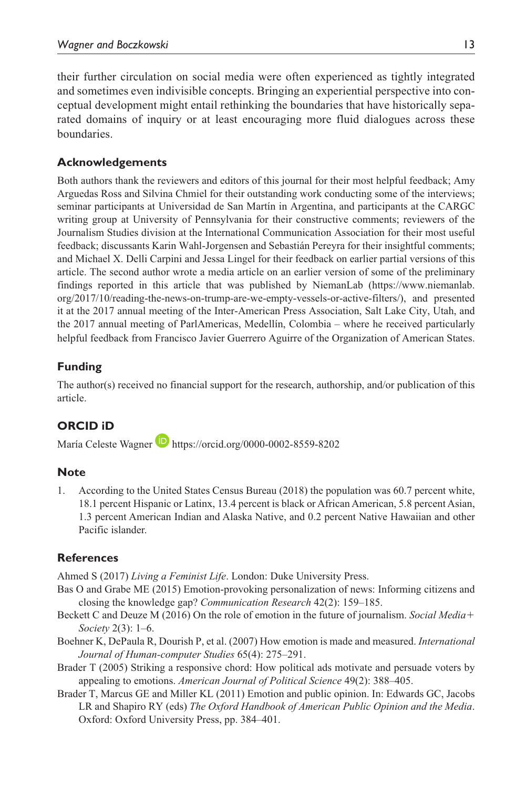their further circulation on social media were often experienced as tightly integrated and sometimes even indivisible concepts. Bringing an experiential perspective into conceptual development might entail rethinking the boundaries that have historically separated domains of inquiry or at least encouraging more fluid dialogues across these boundaries.

#### **Acknowledgements**

Both authors thank the reviewers and editors of this journal for their most helpful feedback; Amy Arguedas Ross and Silvina Chmiel for their outstanding work conducting some of the interviews; seminar participants at Universidad de San Martín in Argentina, and participants at the CARGC writing group at University of Pennsylvania for their constructive comments; reviewers of the Journalism Studies division at the International Communication Association for their most useful feedback; discussants Karin Wahl-Jorgensen and Sebastián Pereyra for their insightful comments; and Michael X. Delli Carpini and Jessa Lingel for their feedback on earlier partial versions of this article. The second author wrote a media article on an earlier version of some of the preliminary findings reported in this article that was published by NiemanLab [\(https://www.niemanlab.](https://www.niemanlab.org/2017/10/reading-the-news-on-trump-are-we-empty-vessels-or-active-filters/) [org/2017/10/reading-the-news-on-trump-are-we-empty-vessels-or-active-filters/\)](https://www.niemanlab.org/2017/10/reading-the-news-on-trump-are-we-empty-vessels-or-active-filters/), and presented it at the 2017 annual meeting of the Inter-American Press Association, Salt Lake City, Utah, and the 2017 annual meeting of ParlAmericas, Medellín, Colombia – where he received particularly helpful feedback from Francisco Javier Guerrero Aguirre of the Organization of American States.

#### **Funding**

The author(s) received no financial support for the research, authorship, and/or publication of this article.

## **ORCID iD**

María Celeste Wagner **<https://orcid.org/0000-0002-8559-8202>** 

#### **Note**

1. According to the United States Census Bureau (2018) the population was 60.7 percent white, 18.1 percent Hispanic or Latinx, 13.4 percent is black or African American, 5.8 percent Asian, 1.3 percent American Indian and Alaska Native, and 0.2 percent Native Hawaiian and other Pacific islander.

#### **References**

Ahmed S (2017) *Living a Feminist Life*. London: Duke University Press.

- Bas O and Grabe ME (2015) Emotion-provoking personalization of news: Informing citizens and closing the knowledge gap? *Communication Research* 42(2): 159–185.
- Beckett C and Deuze M (2016) On the role of emotion in the future of journalism. *Social Media*+ *Society* 2(3): 1–6.
- Boehner K, DePaula R, Dourish P, et al. (2007) How emotion is made and measured. *International Journal of Human-computer Studies* 65(4): 275–291.
- Brader T (2005) Striking a responsive chord: How political ads motivate and persuade voters by appealing to emotions. *American Journal of Political Science* 49(2): 388–405.
- Brader T, Marcus GE and Miller KL (2011) Emotion and public opinion. In: Edwards GC, Jacobs LR and Shapiro RY (eds) *The Oxford Handbook of American Public Opinion and the Media*. Oxford: Oxford University Press, pp. 384–401.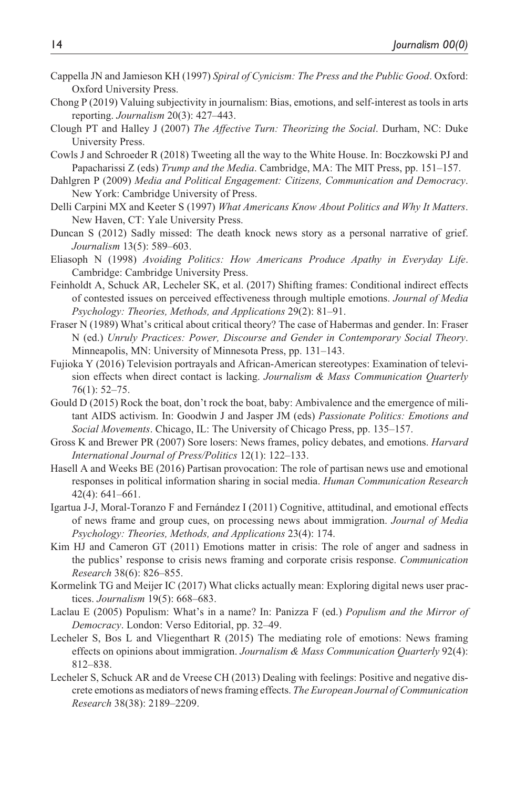- Cappella JN and Jamieson KH (1997) *Spiral of Cynicism: The Press and the Public Good*. Oxford: Oxford University Press.
- Chong P (2019) Valuing subjectivity in journalism: Bias, emotions, and self-interest as tools in arts reporting. *Journalism* 20(3): 427–443.
- Clough PT and Halley J (2007) *The Affective Turn: Theorizing the Social*. Durham, NC: Duke University Press.
- Cowls J and Schroeder R (2018) Tweeting all the way to the White House. In: Boczkowski PJ and Papacharissi Z (eds) *Trump and the Media*. Cambridge, MA: The MIT Press, pp. 151–157.
- Dahlgren P (2009) *Media and Political Engagement: Citizens, Communication and Democracy*. New York: Cambridge University of Press.
- Delli Carpini MX and Keeter S (1997) *What Americans Know About Politics and Why It Matters*. New Haven, CT: Yale University Press.
- Duncan S (2012) Sadly missed: The death knock news story as a personal narrative of grief. *Journalism* 13(5): 589–603.
- Eliasoph N (1998) *Avoiding Politics: How Americans Produce Apathy in Everyday Life*. Cambridge: Cambridge University Press.
- Feinholdt A, Schuck AR, Lecheler SK, et al. (2017) Shifting frames: Conditional indirect effects of contested issues on perceived effectiveness through multiple emotions. *Journal of Media Psychology: Theories, Methods, and Applications* 29(2): 81–91.
- Fraser N (1989) What's critical about critical theory? The case of Habermas and gender. In: Fraser N (ed.) *Unruly Practices: Power, Discourse and Gender in Contemporary Social Theory*. Minneapolis, MN: University of Minnesota Press, pp. 131–143.
- Fujioka Y (2016) Television portrayals and African-American stereotypes: Examination of television effects when direct contact is lacking. *Journalism & Mass Communication Quarterly* 76(1): 52–75.
- Gould D (2015) Rock the boat, don't rock the boat, baby: Ambivalence and the emergence of militant AIDS activism. In: Goodwin J and Jasper JM (eds) *Passionate Politics: Emotions and Social Movements*. Chicago, IL: The University of Chicago Press, pp. 135–157.
- Gross K and Brewer PR (2007) Sore losers: News frames, policy debates, and emotions. *Harvard International Journal of Press/Politics* 12(1): 122–133.
- Hasell A and Weeks BE (2016) Partisan provocation: The role of partisan news use and emotional responses in political information sharing in social media. *Human Communication Research* 42(4): 641–661.
- Igartua J-J, Moral-Toranzo F and Fernández I (2011) Cognitive, attitudinal, and emotional effects of news frame and group cues, on processing news about immigration. *Journal of Media Psychology: Theories, Methods, and Applications* 23(4): 174.
- Kim HJ and Cameron GT (2011) Emotions matter in crisis: The role of anger and sadness in the publics' response to crisis news framing and corporate crisis response. *Communication Research* 38(6): 826–855.
- Kormelink TG and Meijer IC (2017) What clicks actually mean: Exploring digital news user practices. *Journalism* 19(5): 668–683.
- Laclau E (2005) Populism: What's in a name? In: Panizza F (ed.) *Populism and the Mirror of Democracy*. London: Verso Editorial, pp. 32–49.
- Lecheler S, Bos L and Vliegenthart R (2015) The mediating role of emotions: News framing effects on opinions about immigration. *Journalism & Mass Communication Quarterly* 92(4): 812–838.
- Lecheler S, Schuck AR and de Vreese CH (2013) Dealing with feelings: Positive and negative discrete emotions as mediators of news framing effects. *The European Journal of Communication Research* 38(38): 2189–2209.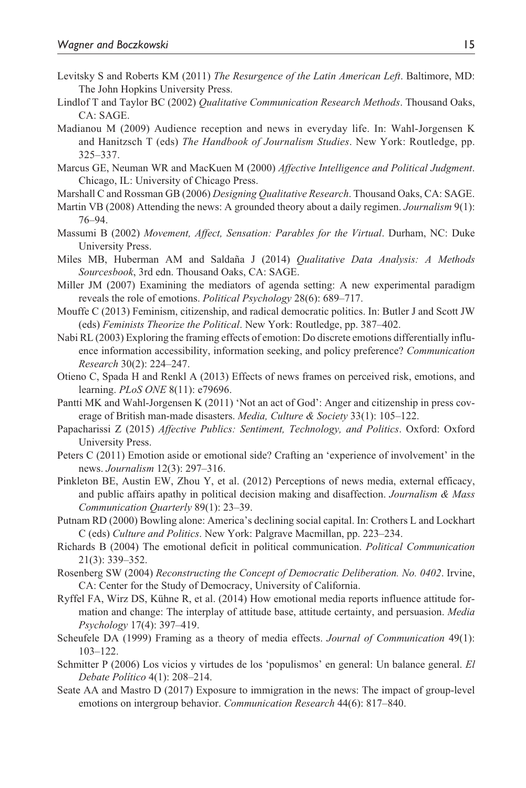- Levitsky S and Roberts KM (2011) *The Resurgence of the Latin American Left*. Baltimore, MD: The John Hopkins University Press.
- Lindlof T and Taylor BC (2002) *Qualitative Communication Research Methods*. Thousand Oaks, CA: SAGE.
- Madianou M (2009) Audience reception and news in everyday life. In: Wahl-Jorgensen K and Hanitzsch T (eds) *The Handbook of Journalism Studies*. New York: Routledge, pp. 325–337.
- Marcus GE, Neuman WR and MacKuen M (2000) *Affective Intelligence and Political Judgment*. Chicago, IL: University of Chicago Press.
- Marshall C and Rossman GB (2006) *Designing Qualitative Research*. Thousand Oaks, CA: SAGE.
- Martin VB (2008) Attending the news: A grounded theory about a daily regimen. *Journalism* 9(1): 76–94.
- Massumi B (2002) *Movement, Affect, Sensation: Parables for the Virtual*. Durham, NC: Duke University Press.
- Miles MB, Huberman AM and Saldaña J (2014) *Qualitative Data Analysis: A Methods Sourcesbook*, 3rd edn. Thousand Oaks, CA: SAGE.
- Miller JM (2007) Examining the mediators of agenda setting: A new experimental paradigm reveals the role of emotions. *Political Psychology* 28(6): 689–717.
- Mouffe C (2013) Feminism, citizenship, and radical democratic politics. In: Butler J and Scott JW (eds) *Feminists Theorize the Political*. New York: Routledge, pp. 387–402.
- Nabi RL (2003) Exploring the framing effects of emotion: Do discrete emotions differentially influence information accessibility, information seeking, and policy preference? *Communication Research* 30(2): 224–247.
- Otieno C, Spada H and Renkl A (2013) Effects of news frames on perceived risk, emotions, and learning. *PLoS ONE* 8(11): e79696.
- Pantti MK and Wahl-Jorgensen K (2011) 'Not an act of God': Anger and citizenship in press coverage of British man-made disasters. *Media, Culture & Society* 33(1): 105–122.
- Papacharissi Z (2015) *Affective Publics: Sentiment, Technology, and Politics*. Oxford: Oxford University Press.
- Peters C (2011) Emotion aside or emotional side? Crafting an 'experience of involvement' in the news. *Journalism* 12(3): 297–316.
- Pinkleton BE, Austin EW, Zhou Y, et al. (2012) Perceptions of news media, external efficacy, and public affairs apathy in political decision making and disaffection. *Journalism & Mass Communication Quarterly* 89(1): 23–39.
- Putnam RD (2000) Bowling alone: America's declining social capital. In: Crothers L and Lockhart C (eds) *Culture and Politics*. New York: Palgrave Macmillan, pp. 223–234.
- Richards B (2004) The emotional deficit in political communication. *Political Communication* 21(3): 339–352.
- Rosenberg SW (2004) *Reconstructing the Concept of Democratic Deliberation. No. 0402*. Irvine, CA: Center for the Study of Democracy, University of California.
- Ryffel FA, Wirz DS, Kühne R, et al. (2014) How emotional media reports influence attitude formation and change: The interplay of attitude base, attitude certainty, and persuasion. *Media Psychology* 17(4): 397–419.
- Scheufele DA (1999) Framing as a theory of media effects. *Journal of Communication* 49(1): 103–122.
- Schmitter P (2006) Los vicios y virtudes de los 'populismos' en general: Un balance general. *El Debate Político* 4(1): 208–214.
- Seate AA and Mastro D (2017) Exposure to immigration in the news: The impact of group-level emotions on intergroup behavior. *Communication Research* 44(6): 817–840.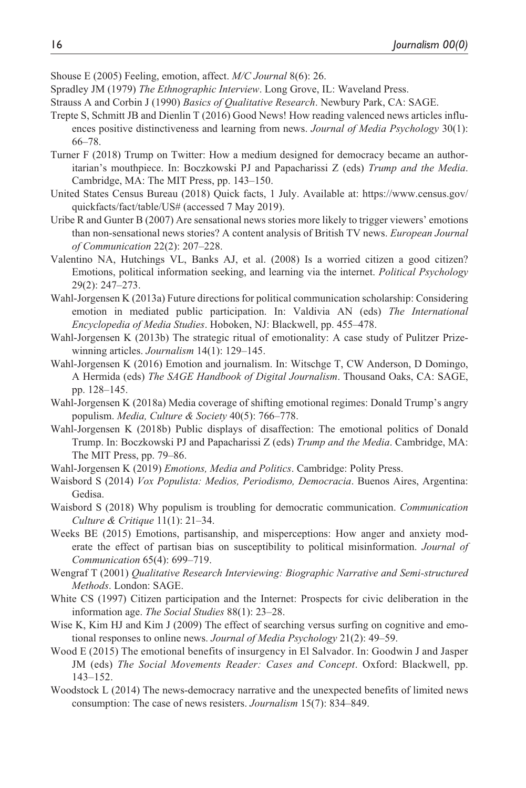Shouse E (2005) Feeling, emotion, affect. *M/C Journal* 8(6): 26.

- Spradley JM (1979) *The Ethnographic Interview*. Long Grove, IL: Waveland Press.
- Strauss A and Corbin J (1990) *Basics of Qualitative Research*. Newbury Park, CA: SAGE.
- Trepte S, Schmitt JB and Dienlin T (2016) Good News! How reading valenced news articles influences positive distinctiveness and learning from news. *Journal of Media Psychology* 30(1): 66–78.
- Turner F (2018) Trump on Twitter: How a medium designed for democracy became an authoritarian's mouthpiece. In: Boczkowski PJ and Papacharissi Z (eds) *Trump and the Media*. Cambridge, MA: The MIT Press, pp. 143–150.
- United States Census Bureau (2018) Quick facts, 1 July. Available at: [https://www.census.gov/](https://www.census.gov/quickfacts/fact/table/US#) [quickfacts/fact/table/US#](https://www.census.gov/quickfacts/fact/table/US#) (accessed 7 May 2019).
- Uribe R and Gunter B (2007) Are sensational news stories more likely to trigger viewers' emotions than non-sensational news stories? A content analysis of British TV news. *European Journal of Communication* 22(2): 207–228.
- Valentino NA, Hutchings VL, Banks AJ, et al. (2008) Is a worried citizen a good citizen? Emotions, political information seeking, and learning via the internet. *Political Psychology* 29(2): 247–273.
- Wahl-Jorgensen K (2013a) Future directions for political communication scholarship: Considering emotion in mediated public participation. In: Valdivia AN (eds) *The International Encyclopedia of Media Studies*. Hoboken, NJ: Blackwell, pp. 455–478.
- Wahl-Jorgensen K (2013b) The strategic ritual of emotionality: A case study of Pulitzer Prizewinning articles. *Journalism* 14(1): 129–145.
- Wahl-Jorgensen K (2016) Emotion and journalism. In: Witschge T, CW Anderson, D Domingo, A Hermida (eds) *The SAGE Handbook of Digital Journalism*. Thousand Oaks, CA: SAGE, pp. 128–145.
- Wahl-Jorgensen K (2018a) Media coverage of shifting emotional regimes: Donald Trump's angry populism. *Media, Culture & Society* 40(5): 766–778.
- Wahl-Jorgensen K (2018b) Public displays of disaffection: The emotional politics of Donald Trump. In: Boczkowski PJ and Papacharissi Z (eds) *Trump and the Media*. Cambridge, MA: The MIT Press, pp. 79–86.
- Wahl-Jorgensen K (2019) *Emotions, Media and Politics*. Cambridge: Polity Press.
- Waisbord S (2014) *Vox Populista: Medios, Periodismo, Democracia*. Buenos Aires, Argentina: Gedisa.
- Waisbord S (2018) Why populism is troubling for democratic communication. *Communication Culture & Critique* 11(1): 21–34.
- Weeks BE (2015) Emotions, partisanship, and misperceptions: How anger and anxiety moderate the effect of partisan bias on susceptibility to political misinformation. *Journal of Communication* 65(4): 699–719.
- Wengraf T (2001) *Qualitative Research Interviewing: Biographic Narrative and Semi-structured Methods*. London: SAGE.
- White CS (1997) Citizen participation and the Internet: Prospects for civic deliberation in the information age. *The Social Studies* 88(1): 23–28.
- Wise K, Kim HJ and Kim J (2009) The effect of searching versus surfing on cognitive and emotional responses to online news. *Journal of Media Psychology* 21(2): 49–59.
- Wood E (2015) The emotional benefits of insurgency in El Salvador. In: Goodwin J and Jasper JM (eds) *The Social Movements Reader: Cases and Concept*. Oxford: Blackwell, pp. 143–152.
- Woodstock L (2014) The news-democracy narrative and the unexpected benefits of limited news consumption: The case of news resisters. *Journalism* 15(7): 834–849.